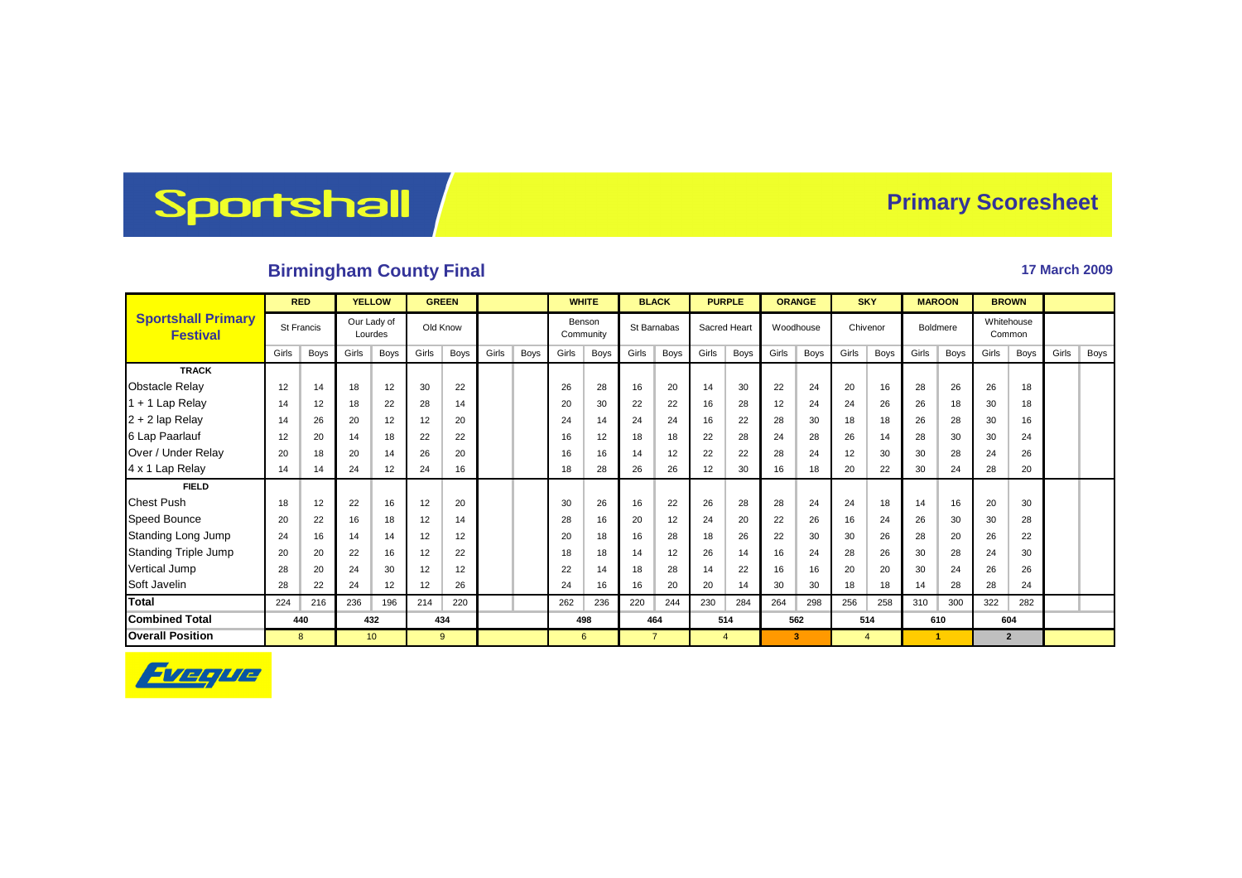## Sportshall

## **Primary Scoresheet**

## **Birmingham County Final 17 March 2009**

|                                              | <b>RED</b>        |      | <b>YELLOW</b>          |                 |          | <b>GREEN</b> |       |      | <b>WHITE</b>        |             |             | <b>BLACK</b>   |              | <b>PURPLE</b>  |           | <b>ORANGE</b> |          | <b>SKY</b>     |          | <b>MAROON</b> | <b>BROWN</b>         |                |       |      |
|----------------------------------------------|-------------------|------|------------------------|-----------------|----------|--------------|-------|------|---------------------|-------------|-------------|----------------|--------------|----------------|-----------|---------------|----------|----------------|----------|---------------|----------------------|----------------|-------|------|
| <b>Sportshall Primary</b><br><b>Festival</b> | <b>St Francis</b> |      | Our Lady of<br>Lourdes |                 | Old Know |              |       |      | Benson<br>Community |             | St Barnabas |                | Sacred Heart |                | Woodhouse |               | Chivenor |                | Boldmere |               | Whitehouse<br>Common |                |       |      |
|                                              | Girls             | Boys | Girls                  | <b>Boys</b>     | Girls    | <b>Boys</b>  | Girls | Boys | Girls               | <b>Boys</b> | Girls       | <b>Boys</b>    | Girls        | Boys           | Girls     | <b>Boys</b>   | Girls    | <b>Boys</b>    | Girls    | Boys          | Girls                | Boys           | Girls | Boys |
| <b>TRACK</b>                                 |                   |      |                        |                 |          |              |       |      |                     |             |             |                |              |                |           |               |          |                |          |               |                      |                |       |      |
| <b>Obstacle Relay</b>                        | 12                | 14   | 18                     | 12              | 30       | 22           |       |      | 26                  | 28          | 16          | 20             | 14           | 30             | 22        | 24            | 20       | 16             | 28       | 26            | 26                   | 18             |       |      |
| 1 + 1 Lap Relay                              | 14                | 12   | 18                     | 22              | 28       | 14           |       |      | 20                  | 30          | 22          | 22             | 16           | 28             | 12        | 24            | 24       | 26             | 26       | 18            | 30                   | 18             |       |      |
| 2 + 2 lap Relay                              | 14                | 26   | 20                     | 12              | 12       | 20           |       |      | 24                  | 14          | 24          | 24             | 16           | 22             | 28        | 30            | 18       | 18             | 26       | 28            | 30                   | 16             |       |      |
| 6 Lap Paarlauf                               | 12                | 20   | 14                     | 18              | 22       | 22           |       |      | 16                  | 12          | 18          | 18             | 22           | 28             | 24        | 28            | 26       | 14             | 28       | 30            | 30                   | 24             |       |      |
| Over / Under Relay                           | 20                | 18   | 20                     | 14              | 26       | 20           |       |      | 16                  | 16          | 14          | 12             | 22           | 22             | 28        | 24            | 12       | 30             | 30       | 28            | 24                   | 26             |       |      |
| 4 x 1 Lap Relay                              | 14                | 14   | 24                     | 12              | 24       | 16           |       |      | 18                  | 28          | 26          | 26             | 12           | 30             | 16        | 18            | 20       | 22             | 30       | 24            | 28                   | 20             |       |      |
| <b>FIELD</b>                                 |                   |      |                        |                 |          |              |       |      |                     |             |             |                |              |                |           |               |          |                |          |               |                      |                |       |      |
| <b>Chest Push</b>                            | 18                | 12   | 22                     | 16              | 12       | 20           |       |      | 30                  | 26          | 16          | 22             | 26           | 28             | 28        | 24            | 24       | 18             | 14       | 16            | 20                   | 30             |       |      |
| <b>Speed Bounce</b>                          | 20                | 22   | 16                     | 18              | 12       | 14           |       |      | 28                  | 16          | 20          | 12             | 24           | 20             | 22        | 26            | 16       | 24             | 26       | 30            | 30                   | 28             |       |      |
| Standing Long Jump                           | 24                | 16   | 14                     | 14              | 12       | 12           |       |      | 20                  | 18          | 16          | 28             | 18           | 26             | 22        | 30            | 30       | 26             | 28       | 20            | 26                   | 22             |       |      |
| <b>Standing Triple Jump</b>                  | 20                | 20   | 22                     | 16              | 12       | 22           |       |      | 18                  | 18          | 14          | 12             | 26           | 14             | 16        | 24            | 28       | 26             | 30       | 28            | 24                   | 30             |       |      |
| Vertical Jump                                | 28                | 20   | 24                     | 30              | 12       | 12           |       |      | 22                  | 14          | 18          | 28             | 14           | 22             | 16        | 16            | 20       | 20             | 30       | 24            | 26                   | 26             |       |      |
| Soft Javelin                                 | 28                | 22   | 24                     | 12              | 12       | 26           |       |      | 24                  | 16          | 16          | 20             | 20           | 14             | 30        | 30            | 18       | 18             | 14       | 28            | 28                   | 24             |       |      |
| <b>Total</b>                                 | 224               | 216  | 236                    | 196             | 214      | 220          |       |      | 262                 | 236         | 220         | 244            | 230          | 284            | 264       | 298           | 256      | 258            | 310      | 300           | 322                  | 282            |       |      |
| <b>Combined Total</b>                        |                   | 440  |                        | 432             |          | 434          |       |      | 498                 |             | 464         |                | 514          |                | 562       |               | 514      |                | 610      |               | 604                  |                |       |      |
| <b>Overall Position</b>                      |                   | 8    |                        | 10 <sup>°</sup> |          | 9            |       |      |                     | 6           |             | $\overline{7}$ |              | $\overline{4}$ |           | 3             |          | $\overline{4}$ |          | -1            |                      | $\overline{2}$ |       |      |

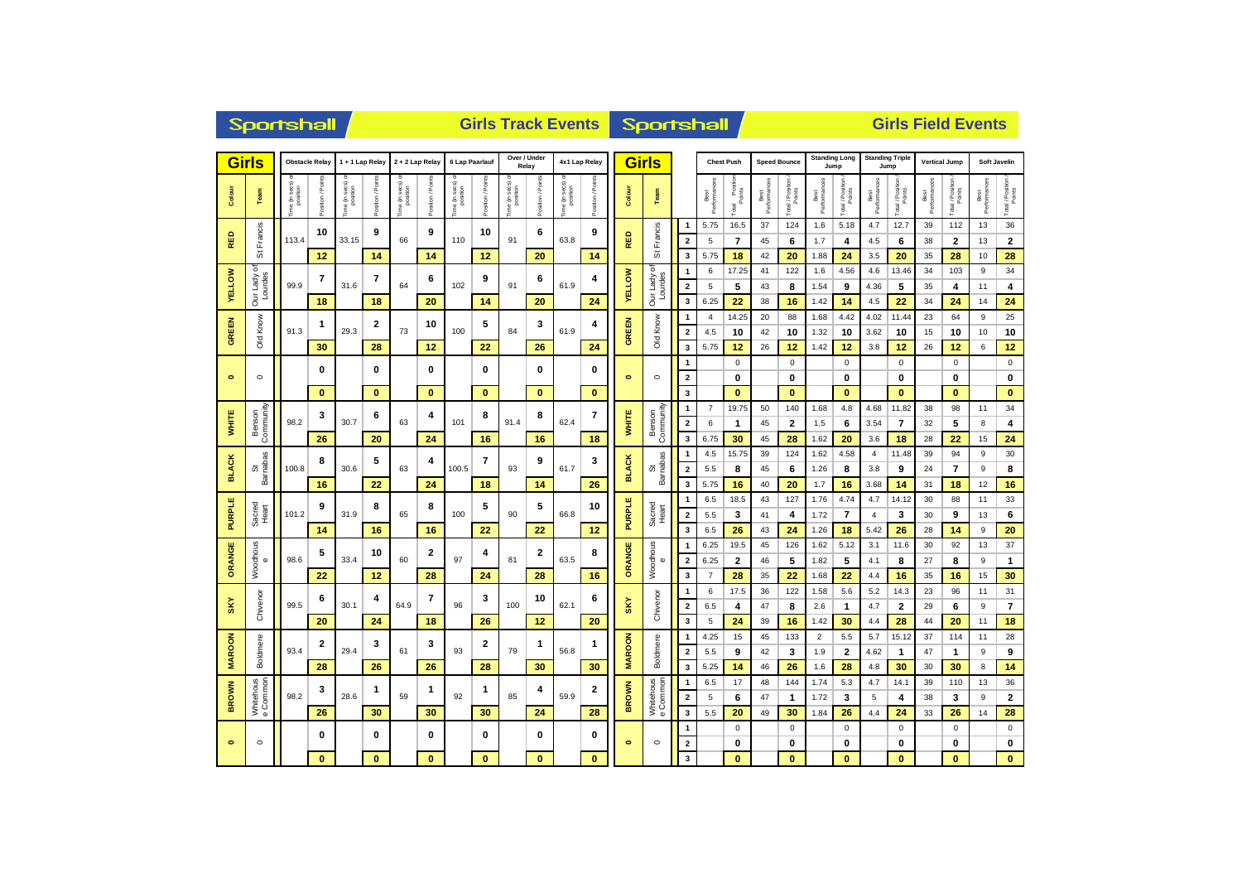|                      | <b>Sportshall</b>                     |               |                  |                          |                          |                         |                  |                          |                         |                                   |                 |                  | <b>Girls Track Events</b> | <b>Sportshall</b>              |                                |                                                    |                       |                          | <b>Girls Field Events</b> |                     |                      |                        |                                |                      |                      |                            |                      |                      |  |
|----------------------|---------------------------------------|---------------|------------------|--------------------------|--------------------------|-------------------------|------------------|--------------------------|-------------------------|-----------------------------------|-----------------|------------------|---------------------------|--------------------------------|--------------------------------|----------------------------------------------------|-----------------------|--------------------------|---------------------------|---------------------|----------------------|------------------------|--------------------------------|----------------------|----------------------|----------------------------|----------------------|----------------------|--|
|                      | <b>Girls</b><br><b>Obstacle Relay</b> |               |                  | 1 + 1 Lap Relay          |                          | 2 + 2 Lap Relay         |                  | 6 Lap Paarlauf           |                         | Over / Under<br>Relay             |                 | 4x1 Lap Relay    |                           | <b>Girls</b>                   |                                |                                                    | <b>Chest Push</b>     |                          | <b>Speed Bounce</b>       | Jump                | <b>Standing Long</b> |                        | <b>Standing Triple</b><br>Jump |                      | <b>Vertical Jump</b> |                            | Soft Javelin         |                      |  |
| Colour               | Team                                  | e (in secs) o | ă<br>$t$ ion / F | ne (in secs)<br>position | osition / Poir           | e (in secs)<br>position | osition / Points | ne (in secs)<br>position | Position / Point        | sec s<br>ime (in secs<br>position | Position / Poir | ime (in secs) or | Position / Points         | Colour                         | Team                           |                                                    | Best<br>Performances  | Total Position<br>Points | Best<br>Performances      | Total / Position    | Best<br>Performano   | Total / Position       | Best<br>Performances           | Total / Position     | Best<br>Performances | Total / Position<br>Points | Best<br>Performances | Total / Position     |  |
| RED                  | Francis<br>õ                          | 113.4         | 10               | 33.15                    | 9                        | 66                      | 9                | 110                      | 10                      | 91                                | 6               | 63.8             | 9                         | RED                            | Francis<br>の                   | $\overline{1}$<br>$\overline{\mathbf{2}}$          | 5.75<br>5             | 16.5<br>$\overline{7}$   | 37<br>45                  | 124<br>6            | 1.6<br>1.7           | 5.18<br>4              | 4.7<br>4.5                     | 12.7<br>6            | 39<br>38             | 112<br>$\mathbf{2}$        | 13<br>13             | 36<br>$\bf 2$        |  |
| <b>VELLOW</b>        | ৳<br>Lourdes<br>Our Lady              | 99.9          | 12<br>7          | 31.6                     | 14<br>7                  | 64                      | 14<br>6          | 102                      | 12<br>9                 | 91                                | 20<br>6         | 61.9             | 14<br>4                   | <b>VELLOW</b>                  | ৳<br>Lourdes<br>Our Lady       | 3<br>$\mathbf{1}$<br>$\overline{\mathbf{2}}$       | 5.75<br>6<br>5        | 18<br>17.25<br>5         | 42<br>41<br>43            | 20<br>122<br>8      | 1.88<br>1.6<br>1.54  | 24<br>4.56<br>9        | 3.5<br>4.6<br>4.36             | 20<br>13.46<br>5     | 35<br>34<br>35       | 28<br>103<br>4             | 10<br>9<br>11        | 28<br>34<br>4        |  |
|                      |                                       |               | 18               |                          | 18                       |                         | 20               |                          | 14                      |                                   | 20              |                  | 24                        |                                |                                | 3                                                  | 6.25                  | 22                       | 38                        | 16                  | 1.42                 | 14                     | 4.5                            | 22                   | 34                   | 24                         | 14                   | 24                   |  |
| <b>GREEN</b>         | Old Know                              | 91.3          | 1                | 29.3                     | 2                        | 73                      | 10               | 100                      | 5                       | 84                                | 3               | 61.9             | 4                         | GREEN                          | Old Know                       | $\overline{1}$<br>$\overline{\mathbf{2}}$          | $\overline{4}$<br>4.5 | 14.25<br>10              | 20<br>42                  | 88<br>10            | 1.68<br>1.32         | 4.42<br>10             | 4.02<br>3.62                   | 11.44<br>10          | 23<br>15             | 64<br>10                   | 9<br>10              | 25<br>10             |  |
|                      |                                       |               | 30               |                          | 28                       |                         | 12               |                          | 22                      |                                   | 26              |                  | 24                        |                                |                                | $\overline{\mathbf{3}}$<br>$\overline{1}$          | 5.75                  | 12<br>$\mathbf 0$        | 26                        | 12<br>$\mathbf 0$   | 1.42                 | 12<br>$\mathbf 0$      | 3.8                            | 12<br>$\mathbf 0$    | 26                   | 12<br>$\pmb{0}$            | 6                    | 12<br>$\mathbf 0$    |  |
| $\bullet$            | $\circ$                               |               | 0                |                          | 0                        |                         | 0                |                          | 0                       |                                   | $\bf{0}$        |                  | 0                         | $\bullet$                      | $\circ$                        | $\overline{\mathbf{2}}$                            |                       | 0                        |                           | 0                   |                      | $\bf{0}$               |                                | $\bf{0}$             |                      | 0                          |                      | $\pmb{0}$            |  |
|                      |                                       |               | $\bf{0}$         |                          | $\bf{0}$                 |                         | $\bf{0}$         |                          | $\mathbf{0}$            |                                   | $\mathbf{0}$    | 62.4             | $\bf{0}$                  |                                |                                | $\overline{\mathbf{3}}$<br>$\overline{1}$          | $\overline{7}$        | $\bf{0}$<br>19.75        | 50                        | $\bf{0}$<br>140     | 1.68                 | $\bf{0}$<br>4.8        | 4.68                           | $\bf{0}$<br>11.82    | 38                   | $\bf{0}$<br>98             | 11                   | $\mathbf{0}$<br>34   |  |
| <b>WHITE</b>         | Community<br>Benson                   | 98.2          | 3                | 30.7                     | 6                        | 63                      | 4                | 101                      | 8                       | 91.4                              | 8               |                  | 7                         | <b>WHITE</b>                   | Community<br>Benson            | $\overline{\mathbf{2}}$                            | 6                     | $\mathbf{1}$             | 45                        | $\overline{2}$      | 1.5                  | 6                      | 3.54                           | $\overline{7}$       | 32                   | 5                          | 8                    | 4                    |  |
|                      |                                       |               | 26               |                          | 20                       |                         | 24               |                          | 16                      |                                   | 16              |                  | 18                        |                                |                                | $\overline{\mathbf{3}}$<br>$\overline{1}$          | 6.75<br>4.5           | 30<br>15.75              | 45<br>39                  | 28<br>124           | 1.62<br>1.62         | 20<br>4.58             | 3.6<br>$\overline{4}$          | 18<br>11.48          | 28<br>39             | 22<br>94                   | 15<br>9              | 24<br>30             |  |
| <b>BLACK</b>         | Barnabas<br>ö                         | 100.8         | 8                | 30.6                     | 5                        | 63                      | 4                | 100.5                    | $\overline{\mathbf{r}}$ | 93                                | 9               | 61.7             | 3                         | <b>BLACK</b>                   | Barnabas<br>ö                  | $\overline{2}$                                     | 5.5                   | 8                        | 45                        | 6                   | 1.26                 | 8                      | 3.8                            | 9                    | 24                   | $\overline{7}$             | 9                    | 8                    |  |
|                      |                                       |               | 16               |                          | 22                       |                         | 24               |                          | 18                      |                                   | 14              |                  | 26                        |                                |                                | 3                                                  | 5.75                  | 16                       | 40                        | 20                  | 1.7                  | 16                     | 3.68                           | 14                   | 31                   | 18                         | 12                   | 16                   |  |
| <b>PURPLE</b>        | Sacred<br>Heart                       | 101.2         | 9                |                          | 8<br>31.9<br>16          | 65                      | 8                | 100                      | 5                       | 90                                | 5               | 66.8             | 10                        | <b>PURPLE</b>                  | Sacred<br>Heart                | $\overline{1}$<br>$\overline{2}$                   | 6.5<br>5.5            | 18.5<br>3                | 43<br>41                  | 127<br>4            | 1.76<br>1.72         | 4.74<br>$\overline{7}$ | 4.7<br>4                       | 14.12<br>3           | 30<br>30             | 88<br>9                    | 11<br>13             | 33<br>6              |  |
|                      |                                       |               | 14               |                          |                          |                         | 16               |                          | 22                      |                                   | 22              |                  | 12                        |                                |                                | $\overline{\mathbf{3}}$                            | 6.5                   | 26                       | 43                        | 24                  | 1.26                 | 18                     | 5.42                           | 26                   | 28                   | 14                         | 9                    | 20                   |  |
|                      |                                       |               | 5                |                          | 10                       |                         |                  |                          | 4                       |                                   | 2               |                  | 8                         |                                |                                | $\overline{\mathbf{1}}$                            | 6.25                  | 19.5                     | 45                        | 126                 | 1.62                 | 5.12                   | 3.1                            | 11.6                 | 30                   | 92                         | 13                   | 37                   |  |
| ORANGE               | <b>Noodhous</b><br>$\omega$           | 98.6          |                  | 33.4                     |                          | 60                      | 2                | 97                       |                         | 81                                |                 | 63.5             |                           | ORANGE                         | Woodhous<br>$\pmb{\mathbb{O}}$ | $\overline{\mathbf{2}}$                            | 6.25                  | $\overline{2}$           | 46                        | 5                   | 1.82                 | 5                      | 4.1                            | 8                    | 27                   | 8                          | 9                    | 1                    |  |
|                      |                                       |               | 22               |                          | 12                       |                         | 28               |                          | 24                      |                                   | 28              |                  | 16                        |                                |                                | $\overline{\mathbf{3}}$                            | $\overline{7}$        | 28                       | 35                        | 22                  | 1.68                 | 22                     | 4.4                            | 16                   | 35                   | 16                         | 15                   | 30                   |  |
| $S_K$                | Chivenor                              | 99.5          | 6                | 30.1                     | 4                        | 64.9                    | 7                | 96                       | 3                       | 100                               | 10              | 62.1             | 6                         | SKY                            | Chivenor                       | $\overline{\mathbf{1}}$<br>$\overline{\mathbf{2}}$ | 6<br>6.5              | 17.5<br>4                | 36<br>47                  | 122<br>8            | 1.58<br>2.6          | 5.6<br>$\mathbf{1}$    | 5.2<br>4.7                     | 14.3<br>$\mathbf{2}$ | 23<br>29             | 96<br>6                    | 11<br>9              | 31<br>$\overline{7}$ |  |
|                      |                                       |               | 20               |                          | 24                       |                         | 18               |                          | 26                      |                                   | 12              |                  | 20                        |                                |                                | $\overline{\mathbf{3}}$                            | 5                     | 24                       | 39                        | 16                  | 1.42                 | 30                     | 4.4                            | 28                   | 44                   | 20                         | 11                   | 18                   |  |
|                      |                                       |               | 2                |                          | 3                        |                         | 3                |                          | 2                       |                                   | 1               |                  | 1                         |                                |                                | $\mathbf{1}$                                       | 4.25                  | 15                       | 45                        | 133                 | $\overline{2}$       | 5.5                    | 5.7                            | 15.12                | 37                   | 114                        | 11                   | 28                   |  |
| <b>MAROON</b>        | Boldmere                              | 93.4          |                  | 29.4                     |                          | 61                      |                  | 93                       |                         | 79                                |                 | 56.8             |                           | <b>MAROON</b>                  | Boldmere                       | $\overline{2}$                                     | 5.5                   | 9                        | 42                        | 3                   | 1.9                  | $\overline{2}$         | 4.62                           | $\mathbf{1}$         | 47                   | $\mathbf{1}$               | 9                    | 9                    |  |
|                      |                                       |               | 28               |                          | 26                       |                         | 26               |                          | 28                      |                                   | 30              |                  | 30                        |                                |                                | 3                                                  | 5.25                  | 14                       | 46                        | 26                  | 1.6                  | 28                     | 4.8                            | 30                   | 30                   | 30                         | 8                    | 14                   |  |
| <b>BROWN</b>         | Whitehous<br>e Common                 | 98.2          | 3                | 28.6                     | 1<br>1<br>59<br>30<br>30 |                         |                  | 92                       | 1                       | 85                                | 4               | 59.9             | $\overline{2}$            | <b>BROWN</b>                   | Whitehous<br>e Common          | $\overline{\mathbf{1}}$<br>$\overline{2}$          | 6.5<br>5              | 17<br>6                  | 48<br>47                  | 144<br>$\mathbf{1}$ | 1.74<br>1.72         | 5.3<br>3               | 4.7<br>5                       | 14.1<br>4            | 39<br>38             | 110<br>3                   | 13<br>9              | 36<br>$\mathbf{2}$   |  |
|                      |                                       |               | 26               |                          |                          |                         | 30               |                          | 24                      |                                   | 28              |                  |                           | $\mathbf{3}$                   | 5.5                            | 20                                                 | 49                    | 30                       | 1.84                      | 26                  | 4.4                  | 24                     | 33                             | 26                   | 14                   | 28                         |                      |                      |  |
| $\bullet$<br>$\circ$ |                                       |               | 0                |                          | $\bf{0}$                 |                         | 0                |                          | $\mathbf 0$             |                                   | $\bf{0}$        |                  | 0                         |                                |                                | $\overline{1}$                                     |                       | $\mathbf 0$              |                           | $\mathbf 0$         |                      | $\mathbf 0$            |                                | $\mathbf 0$          |                      | $\mathbf 0$                |                      | $\mathbf 0$          |  |
|                      |                                       |               | $\bf{0}$         |                          | $\bf{0}$<br>$\bf{0}$     |                         | $\mathbf{0}$     |                          | $\bf{0}$                |                                   | $\bf{0}$        | $\bullet$        | $\circ$                   | $\overline{2}$<br>$\mathbf{3}$ |                                | 0<br>$\bf{0}$                                      |                       | 0<br>$\mathbf{0}$        |                           | 0<br>$\bf{0}$       |                      | 0<br>$\bf{0}$          |                                | 0<br>$\mathbf{0}$    |                      | $\pmb{0}$<br>$\mathbf{0}$  |                      |                      |  |